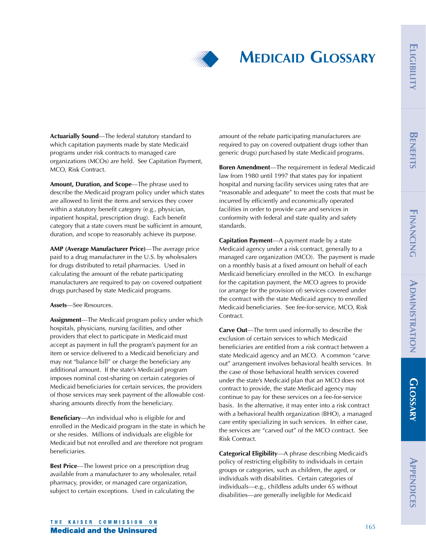

# **MEDICAID GLOSSARY**

**Actuarially Sound**—The federal statutory standard to which capitation payments made by state Medicaid programs under risk contracts to managed care organizations (MCOs) are held. See Capitation Payment, MCO, Risk Contract.

> **Amount, Duration, and Scope**—The phrase used to describe the Medicaid program policy under which states are allowed to limit the items and services they cover within a statutory benefit category (e.g., physician, inpatient hospital, prescription drug). Each benefit category that a state covers must be sufficient in amount, duration, and scope to reasonably achieve its purpose.

**AMP (Average Manufacturer Price)**—The average price paid to a drug manufacturer in the U.S. by wholesalers for drugs distributed to retail pharmacies. Used in calculating the amount of the rebate participating manufacturers are required to pay on covered outpatient drugs purchased by state Medicaid programs.

## **Assets**—See Resources.

**Assignment**—The Medicaid program policy under which hospitals, physicians, nursing facilities, and other providers that elect to participate in Medicaid must accept as payment in full the program's payment for an item or service delivered to a Medicaid beneficiary and may not "balance bill" or charge the beneficiary any additional amount. If the state's Medicaid program imposes nominal cost-sharing on certain categories of Medicaid beneficiaries for certain services, the providers of those services may seek payment of the allowable costsharing amounts directly from the beneficiary.

**Beneficiary**—An individual who is eligible for and enrolled in the Medicaid program in the state in which he or she resides. Millions of individuals are eligible for Medicaid but not enrolled and are therefore not program beneficiaries.

**Best Price**—The lowest price on a prescription drug available from a manufacturer to any wholesaler, retail pharmacy, provider, or managed care organization, subject to certain exceptions. Used in calculating the

amount of the rebate participating manufacturers are required to pay on covered outpatient drugs (other than generic drugs) purchased by state Medicaid programs.

**Boren Amendment**—The requirement in federal Medicaid law from 1980 until 1997 that states pay for inpatient hospital and nursing facility services using rates that are "reasonable and adequate" to meet the costs that must be incurred by efficiently and economically operated facilities in order to provide care and services in conformity with federal and state quality and safety standards.

**Capitation Payment**—A payment made by a state Medicaid agency under a risk contract, generally to a managed care organization (MCO). The payment is made on a monthly basis at a fixed amount on behalf of each Medicaid beneficiary enrolled in the MCO. In exchange for the capitation payment, the MCO agrees to provide (or arrange for the provision of) services covered under the contract with the state Medicaid agency to enrolled Medicaid beneficiaries. See fee-for-service, MCO, Risk Contract.

**Carve Out**—The term used informally to describe the exclusion of certain services to which Medicaid beneficiaries are entitled from a risk contract between a state Medicaid agency and an MCO. A common "carve out" arrangement involves behavioral health services. In the case of those behavioral health services covered under the state's Medicaid plan that an MCO does not contract to provide, the state Medicaid agency may continue to pay for these services on a fee-for-service basis. In the alternative, it may enter into a risk contract with a behavioral health organization (BHO), a managed care entity specializing in such services. In either case, the services are "carved out" of the MCO contract. See Risk Contract.

**Categorical Eligibility**—A phrase describing Medicaid's policy of restricting eligibility to individuals in certain groups or categories, such as children, the aged, or individuals with disabilities. Certain categories of individuals—e.g., childless adults under 65 without disabilities—are generally ineligible for Medicaid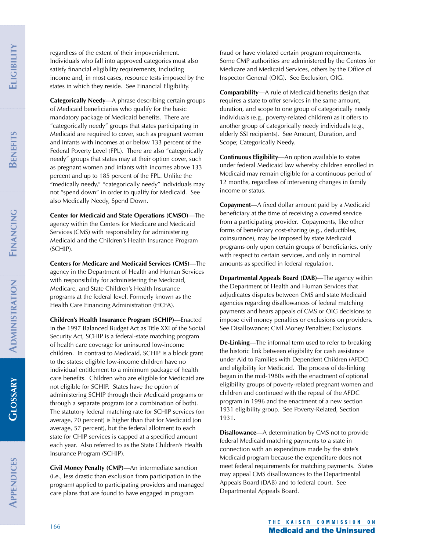FINANCING **FINANCING**

**GLOSSARY**

regardless of the extent of their impoverishment. Individuals who fall into approved categories must also satisfy financial eligibility requirements, including income and, in most cases, resource tests imposed by the states in which they reside. See Financial Eligibility.

**Categorically Needy**—A phrase describing certain groups of Medicaid beneficiaries who qualify for the basic mandatory package of Medicaid benefits. There are "categorically needy" groups that states participating in Medicaid are required to cover, such as pregnant women and infants with incomes at or below 133 percent of the Federal Poverty Level (FPL). There are also "categorically needy" groups that states may at their option cover, such as pregnant women and infants with incomes above 133 percent and up to 185 percent of the FPL. Unlike the "medically needy," "categorically needy" individuals may not "spend down" in order to qualify for Medicaid. See also Medically Needy, Spend Down.

**Center for Medicaid and State Operations (CMSO)**—The agency within the Centers for Medicare and Medicaid Services (CMS) with responsibility for administering Medicaid and the Children's Health Insurance Program (SCHIP).

**Centers for Medicare and Medicaid Services (CMS)**—The agency in the Department of Health and Human Services with responsibility for administering the Medicaid, Medicare, and State Children's Health Insurance programs at the federal level. Formerly known as the Health Care Financing Administration (HCFA).

**Children's Health Insurance Program (SCHIP)**—Enacted in the 1997 Balanced Budget Act as Title XXI of the Social Security Act, SCHIP is a federal-state matching program of health care coverage for uninsured low-income children. In contrast to Medicaid, SCHIP is a block grant to the states; eligible low-income children have no individual entitlement to a minimum package of health care benefits. Children who are eligible for Medicaid are not eligible for SCHIP. States have the option of administering SCHIP through their Medicaid programs or through a separate program (or a combination of both). The statutory federal matching rate for SCHIP services (on average, 70 percent) is higher than that for Medicaid (on average, 57 percent), but the federal allotment to each state for CHIP services is capped at a specified amount each year. Also referred to as the State Children's Health Insurance Program (SCHIP).

**Civil Money Penalty (CMP)**—An intermediate sanction (i.e., less drastic than exclusion from participation in the program) applied to participating providers and managed care plans that are found to have engaged in program

fraud or have violated certain program requirements. Some CMP authorities are administered by the Centers for Medicare and Medicaid Services, others by the Office of Inspector General (OIG). See Exclusion, OIG.

**Comparability**—A rule of Medicaid benefits design that requires a state to offer services in the same amount, duration, and scope to one group of categorically needy individuals (e.g., poverty-related children) as it offers to another group of categorically needy individuals (e.g., elderly SSI recipients). See Amount, Duration, and Scope; Categorically Needy.

**Continuous Eligibility**—An option available to states under federal Medicaid law whereby children enrolled in Medicaid may remain eligible for a continuous period of 12 months, regardless of intervening changes in family income or status.

**Copayment**—A fixed dollar amount paid by a Medicaid beneficiary at the time of receiving a covered service from a participating provider. Copayments, like other forms of beneficiary cost-sharing (e.g., deductibles, coinsurance), may be imposed by state Medicaid programs only upon certain groups of beneficiaries, only with respect to certain services, and only in nominal amounts as specified in federal regulation.

**Departmental Appeals Board (DAB)**—The agency within the Department of Health and Human Services that adjudicates disputes between CMS and state Medicaid agencies regarding disallowances of federal matching payments and hears appeals of CMS or OIG decisions to impose civil money penalties or exclusions on providers. See Disallowance; Civil Money Penalties; Exclusions.

**De-Linking**—The informal term used to refer to breaking the historic link between eligibility for cash assistance under Aid to Families with Dependent Children (AFDC) and eligibility for Medicaid. The process of de-linking began in the mid-1980s with the enactment of optional eligibility groups of poverty-related pregnant women and children and continued with the repeal of the AFDC program in 1996 and the enactment of a new section 1931 eligibility group. See Poverty-Related, Section 1931.

**Disallowance**—A determination by CMS not to provide federal Medicaid matching payments to a state in connection with an expenditure made by the state's Medicaid program because the expenditure does not meet federal requirements for matching payments. States may appeal CMS disallowances to the Departmental Appeals Board (DAB) and to federal court. See Departmental Appeals Board.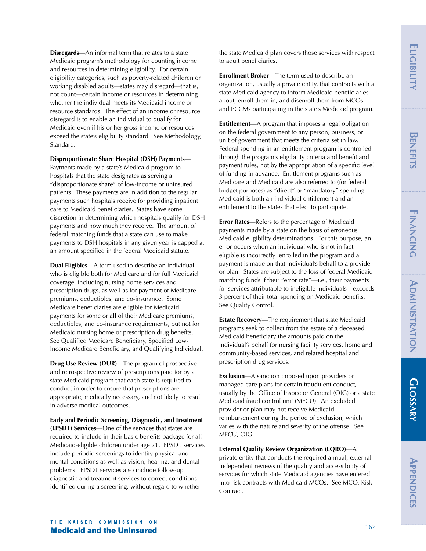**Disregards**—An informal term that relates to a state Medicaid program's methodology for counting income and resources in determining eligibility. For certain eligibility categories, such as poverty-related children or working disabled adults—states may disregard—that is, not count—certain income or resources in determining whether the individual meets its Medicaid income or resource standards. The effect of an income or resource disregard is to enable an individual to qualify for Medicaid even if his or her gross income or resources exceed the state's eligibility standard. See Methodology, Standard.

## **Disproportionate Share Hospital (DSH) Payments**—

Payments made by a state's Medicaid program to hospitals that the state designates as serving a "disproportionate share" of low-income or uninsured patients. These payments are in addition to the regular payments such hospitals receive for providing inpatient care to Medicaid beneficiaries. States have some discretion in determining which hospitals qualify for DSH payments and how much they receive. The amount of federal matching funds that a state can use to make payments to DSH hospitals in any given year is capped at an amount specified in the federal Medicaid statute.

**Dual Eligibles**—A term used to describe an individual who is eligible both for Medicare and for full Medicaid coverage, including nursing home services and prescription drugs, as well as for payment of Medicare premiums, deductibles, and co-insurance. Some Medicare beneficiaries are eligible for Medicaid payments for some or all of their Medicare premiums, deductibles, and co-insurance requirements, but not for Medicaid nursing home or prescription drug benefits. See Qualified Medicare Beneficiary, Specified Low-Income Medicare Beneficiary, and Qualifying Individual.

**Drug Use Review (DUR)**—The program of prospective and retrospective review of prescriptions paid for by a state Medicaid program that each state is required to conduct in order to ensure that prescriptions are appropriate, medically necessary, and not likely to result in adverse medical outcomes.

**Early and Periodic Screening, Diagnostic, and Treatment (EPSDT) Services**—One of the services that states are required to include in their basic benefits package for all Medicaid-eligible children under age 21. EPSDT services include periodic screenings to identify physical and mental conditions as well as vision, hearing, and dental problems. EPSDT services also include follow-up diagnostic and treatment services to correct conditions identified during a screening, without regard to whether

the state Medicaid plan covers those services with respect to adult beneficiaries.

**Enrollment Broker**—The term used to describe an organization, usually a private entity, that contracts with a state Medicaid agency to inform Medicaid beneficiaries about, enroll them in, and disenroll them from MCOs and PCCMs participating in the state's Medicaid program.

**Entitlement**—A program that imposes a legal obligation on the federal government to any person, business, or unit of government that meets the criteria set in law. Federal spending in an entitlement program is controlled through the program's eligibility criteria and benefit and payment rules, not by the appropriation of a specific level of funding in advance. Entitlement programs such as Medicare and Medicaid are also referred to (for federal budget purposes) as "direct" or "mandatory" spending. Medicaid is both an individual entitlement and an entitlement to the states that elect to participate.

**Error Rates**—Refers to the percentage of Medicaid payments made by a state on the basis of erroneous Medicaid eligibility determinations. For this purpose, an error occurs when an individual who is not in fact eligible is incorrectly enrolled in the program and a payment is made on that individual's behalf to a provider or plan. States are subject to the loss of federal Medicaid matching funds if their "error rate"—i.e., their payments for services attributable to ineligible individuals—exceeds 3 percent of their total spending on Medicaid benefits. See Quality Control.

**Estate Recovery**—The requirement that state Medicaid programs seek to collect from the estate of a deceased Medicaid beneficiary the amounts paid on the individual's behalf for nursing facility services, home and community-based services, and related hospital and prescription drug services.

**Exclusion**—A sanction imposed upon providers or managed care plans for certain fraudulent conduct, usually by the Office of Inspector General (OIG) or a state Medicaid fraud control unit (MFCU). An excluded provider or plan may not receive Medicaid reimbursement during the period of exclusion, which varies with the nature and severity of the offense. See MFCU, OIG.

**External Quality Review Organization (EQRO)**—A

private entity that conducts the required annual, external independent reviews of the quality and accessibility of services for which state Medicaid agencies have entered into risk contracts with Medicaid MCOs. See MCO, Risk Contract.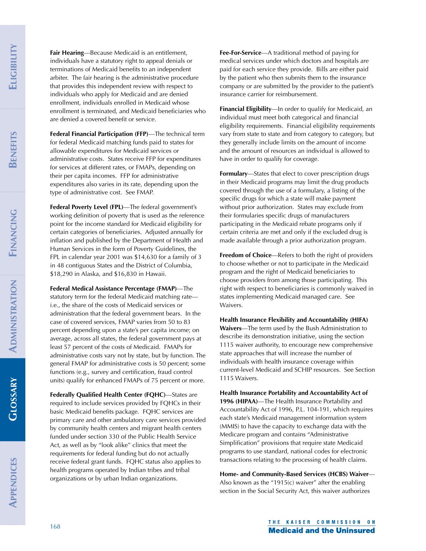FINANCING **FINANCING**

**GLOSSARY**

**Fair Hearing**—Because Medicaid is an entitlement, individuals have a statutory right to appeal denials or terminations of Medicaid benefits to an independent arbiter. The fair hearing is the administrative procedure that provides this independent review with respect to individuals who apply for Medicaid and are denied enrollment, individuals enrolled in Medicaid whose enrollment is terminated, and Medicaid beneficiaries who are denied a covered benefit or service.

**Federal Financial Participation (FFP)**—The technical term for federal Medicaid matching funds paid to states for allowable expenditures for Medicaid services or administrative costs. States receive FFP for expenditures for services at different rates, or FMAPs, depending on their per capita incomes. FFP for administrative expenditures also varies in its rate, depending upon the type of administrative cost. See FMAP.

**Federal Poverty Level (FPL)**—The federal government's working definition of poverty that is used as the reference point for the income standard for Medicaid eligibility for certain categories of beneficiaries. Adjusted annually for inflation and published by the Department of Health and Human Services in the form of Poverty Guidelines, the FPL in calendar year 2001 was \$14,630 for a family of 3 in 48 contiguous States and the District of Columbia, \$18,290 in Alaska, and \$16,830 in Hawaii.

**Federal Medical Assistance Percentage (FMAP)**—The

statutory term for the federal Medicaid matching rate i.e., the share of the costs of Medicaid services or administration that the federal government bears. In the case of covered services, FMAP varies from 50 to 83 percent depending upon a state's per capita income; on average, across all states, the federal government pays at least 57 percent of the costs of Medicaid. FMAPs for administrative costs vary not by state, but by function. The general FMAP for administrative costs is 50 percent; some functions (e.g., survey and certification, fraud control units) qualify for enhanced FMAPs of 75 percent or more.

**Federally Qualified Health Center (FQHC)**—States are required to include services provided by FQHCs in their basic Medicaid benefits package. FQHC services are primary care and other ambulatory care services provided by community health centers and migrant health centers funded under section 330 of the Public Health Service Act, as well as by "look alike" clinics that meet the requirements for federal funding but do not actually receive federal grant funds. FQHC status also applies to health programs operated by Indian tribes and tribal organizations or by urban Indian organizations.

**Fee-For-Service**—A traditional method of paying for medical services under which doctors and hospitals are paid for each service they provide. Bills are either paid by the patient who then submits them to the insurance company or are submitted by the provider to the patient's insurance carrier for reimbursement.

**Financial Eligibility**—In order to qualify for Medicaid, an individual must meet both categorical and financial eligibility requirements. Financial eligibility requirements vary from state to state and from category to category, but they generally include limits on the amount of income and the amount of resources an individual is allowed to have in order to qualify for coverage.

**Formulary**—States that elect to cover prescription drugs in their Medicaid programs may limit the drug products covered through the use of a formulary, a listing of the specific drugs for which a state will make payment without prior authorization. States may exclude from their formularies specific drugs of manufacturers participating in the Medicaid rebate programs only if certain criteria are met and only if the excluded drug is made available through a prior authorization program.

**Freedom of Choice**—Refers to both the right of providers to choose whether or not to participate in the Medicaid program and the right of Medicaid beneficiaries to choose providers from among those participating. This right with respect to beneficiaries is commonly waived in states implementing Medicaid managed care. See Waivers.

**Health Insurance Flexibility and Accountability (HIFA) Waivers**—The term used by the Bush Administration to describe its demonstration initiative, using the section 1115 waiver authority, to encourage new comprehensive state approaches that will increase the number of individuals with health insurance coverage within current-level Medicaid and SCHIP resources. See Section 1115 Waivers.

**Health Insurance Portability and Accountability Act of 1996 (HIPAA)**—The Health Insurance Portability and Accountability Act of 1996, P.L. 104-191, which requires each state's Medicaid management information system (MMIS) to have the capacity to exchange data with the Medicare program and contains "Administrative Simplification" provisions that require state Medicaid programs to use standard, national codes for electronic transactions relating to the processing of health claims.

**Home- and Community-Based Services (HCBS) Waiver**— Also known as the "1915(c) waiver" after the enabling section in the Social Security Act, this waiver authorizes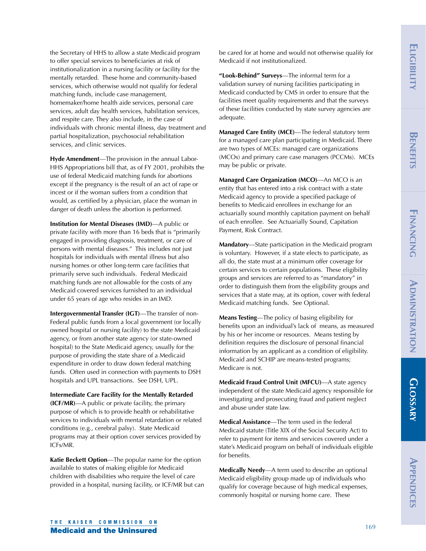**GLOSSARY GLOSSARY**

the Secretary of HHS to allow a state Medicaid program to offer special services to beneficiaries at risk of institutionalization in a nursing facility or facility for the mentally retarded. These home and community-based services, which otherwise would not qualify for federal matching funds, include case management, homemaker/home health aide services, personal care services, adult day health services, habilitation services, and respite care. They also include, in the case of individuals with chronic mental illness, day treatment and partial hospitalization, psychosocial rehabilitation services, and clinic services.

**Hyde Amendment**—The provision in the annual Labor-HHS Appropriations bill that, as of FY 2001, prohibits the use of federal Medicaid matching funds for abortions except if the pregnancy is the result of an act of rape or incest or if the woman suffers from a condition that would, as certified by a physician, place the woman in danger of death unless the abortion is performed.

**Institution for Mental Diseases (IMD)**—A public or private facility with more than 16 beds that is "primarily engaged in providing diagnosis, treatment, or care of persons with mental diseases." This includes not just hospitals for individuals with mental illness but also nursing homes or other long-term care facilities that primarily serve such individuals. Federal Medicaid matching funds are not allowable for the costs of any Medicaid covered services furnished to an individual under 65 years of age who resides in an IMD.

**Intergovernmental Transfer (IGT)**—The transfer of non-Federal public funds from a local government (or locally owned hospital or nursing facility) to the state Medicaid agency, or from another state agency (or state-owned hospital) to the State Medicaid agency, usually for the purpose of providing the state share of a Medicaid expenditure in order to draw down federal matching funds. Often used in connection with payments to DSH hospitals and UPL transactions. See DSH, UPL.

**Intermediate Care Facility for the Mentally Retarded (ICF/MR)**—A public or private facility, the primary purpose of which is to provide health or rehabilitative services to individuals with mental retardation or related conditions (e.g., cerebral palsy). State Medicaid programs may at their option cover services provided by ICFs/MR.

**Katie Beckett Option**—The popular name for the option available to states of making eligible for Medicaid children with disabilities who require the level of care provided in a hospital, nursing facility, or ICF/MR but can be cared for at home and would not otherwise qualify for Medicaid if not institutionalized.

**"Look-Behind" Surveys**—The informal term for a validation survey of nursing facilities participating in Medicaid conducted by CMS in order to ensure that the facilities meet quality requirements and that the surveys of these facilities conducted by state survey agencies are adequate.

**Managed Care Entity (MCE)**—The federal statutory term for a managed care plan participating in Medicaid. There are two types of MCEs: managed care organizations (MCOs) and primary care case managers (PCCMs). MCEs may be public or private.

**Managed Care Organization (MCO)**—An MCO is an entity that has entered into a risk contract with a state Medicaid agency to provide a specified package of benefits to Medicaid enrollees in exchange for an actuarially sound monthly capitation payment on behalf of each enrollee. See Actuarially Sound, Capitation Payment, Risk Contract.

**Mandatory**—State participation in the Medicaid program is voluntary. However, if a state elects to participate, as all do, the state must at a minimum offer coverage for certain services to certain populations. These eligibility groups and services are referred to as "mandatory" in order to distinguish them from the eligibility groups and services that a state may, at its option, cover with federal Medicaid matching funds. See Optional.

**Means Testing**—The policy of basing eligibility for benefits upon an individual's lack of means, as measured by his or her income or resources. Means testing by definition requires the disclosure of personal financial information by an applicant as a condition of eligibility. Medicaid and SCHIP are means-tested programs; Medicare is not.

**Medicaid Fraud Control Unit (MFCU)**—A state agency independent of the state Medicaid agency responsible for investigating and prosecuting fraud and patient neglect and abuse under state law.

**Medical Assistance**—The term used in the federal Medicaid statute (Title XIX of the Social Security Act) to refer to payment for items and services covered under a state's Medicaid program on behalf of individuals eligible for benefits.

**Medically Needy**—A term used to describe an optional Medicaid eligibility group made up of individuals who qualify for coverage because of high medical expenses, commonly hospital or nursing home care. These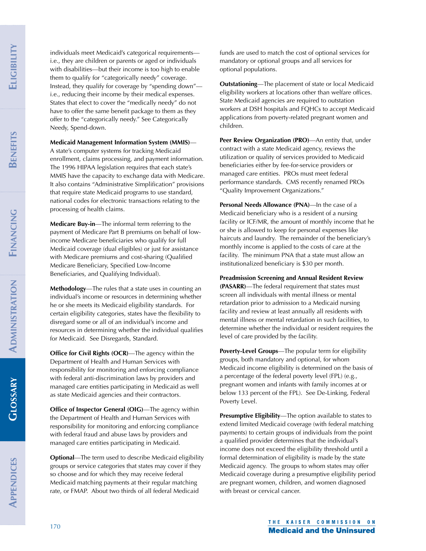FINANCING **FINANCING**

**GLOSSARY**

individuals meet Medicaid's categorical requirements i.e., they are children or parents or aged or individuals with disabilities—but their income is too high to enable them to qualify for "categorically needy" coverage. Instead, they qualify for coverage by "spending down" i.e., reducing their income by their medical expenses. States that elect to cover the "medically needy" do not have to offer the same benefit package to them as they offer to the "categorically needy." See Categorically Needy, Spend-down.

## **Medicaid Management Information System (MMIS)**—

A state's computer systems for tracking Medicaid enrollment, claims processing, and payment information. The 1996 HIPAA legislation requires that each state's MMIS have the capacity to exchange data with Medicare. It also contains "Administrative Simplification" provisions that require state Medicaid programs to use standard, national codes for electronic transactions relating to the processing of health claims.

**Medicare Buy-in**—The informal term referring to the payment of Medicare Part B premiums on behalf of lowincome Medicare beneficiaries who qualify for full Medicaid coverage (dual eligibles) or just for assistance with Medicare premiums and cost-sharing (Qualified Medicare Beneficiary, Specified Low-Income Beneficiaries, and Qualifying Individual).

**Methodology**—The rules that a state uses in counting an individual's income or resources in determining whether he or she meets its Medicaid eligibility standards. For certain eligibility categories, states have the flexibility to disregard some or all of an individual's income and resources in determining whether the individual qualifies for Medicaid. See Disregards, Standard.

**Office for Civil Rights (OCR)—The agency within the** Department of Health and Human Services with responsibility for monitoring and enforcing compliance with federal anti-discrimination laws by providers and managed care entities participating in Medicaid as well as state Medicaid agencies and their contractors.

**Office of Inspector General (OIG)—The agency within** the Department of Health and Human Services with responsibility for monitoring and enforcing compliance with federal fraud and abuse laws by providers and managed care entities participating in Medicaid.

**Optional**—The term used to describe Medicaid eligibility groups or service categories that states may cover if they so choose and for which they may receive federal Medicaid matching payments at their regular matching rate, or FMAP. About two thirds of all federal Medicaid

funds are used to match the cost of optional services for mandatory or optional groups and all services for optional populations.

**Outstationing**—The placement of state or local Medicaid eligibility workers at locations other than welfare offices. State Medicaid agencies are required to outstation workers at DSH hospitals and FQHCs to accept Medicaid applications from poverty-related pregnant women and children.

**Peer Review Organization (PRO)**—An entity that, under contract with a state Medicaid agency, reviews the utilization or quality of services provided to Medicaid beneficiaries either by fee-for-service providers or managed care entities. PROs must meet federal performance standards. CMS recently renamed PROs "Quality Improvement Organizations."

**Personal Needs Allowance (PNA)—In the case of a** Medicaid beneficiary who is a resident of a nursing facility or ICF/MR, the amount of monthly income that he or she is allowed to keep for personal expenses like haircuts and laundry. The remainder of the beneficiary's monthly income is applied to the costs of care at the facility. The minimum PNA that a state must allow an institutionalized beneficiary is \$30 per month.

**Preadmission Screening and Annual Resident Review (PASARR)**—The federal requirement that states must screen all individuals with mental illness or mental retardation prior to admission to a Medicaid nursing facility and review at least annually all residents with mental illness or mental retardation in such facilities, to determine whether the individual or resident requires the level of care provided by the facility.

**Poverty-Level Groups**—The popular term for eligibility groups, both mandatory and optional, for whom Medicaid income eligibility is determined on the basis of a percentage of the federal poverty level (FPL) (e.g., pregnant women and infants with family incomes at or below 133 percent of the FPL). See De-Linking, Federal Poverty Level.

**Presumptive Eligibility**—The option available to states to extend limited Medicaid coverage (with federal matching payments) to certain groups of individuals from the point a qualified provider determines that the individual's income does not exceed the eligibility threshold until a formal determination of eligibility is made by the state Medicaid agency. The groups to whom states may offer Medicaid coverage during a presumptive eligibility period are pregnant women, children, and women diagnosed with breast or cervical cancer.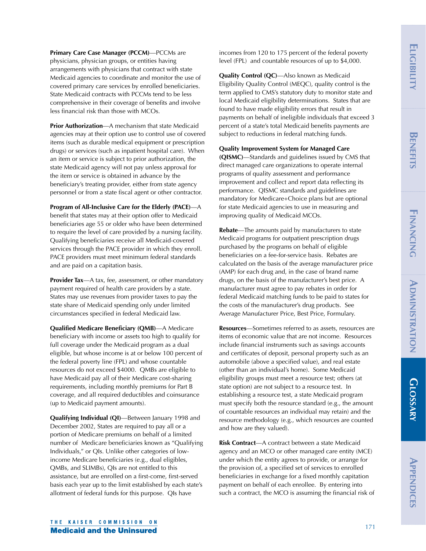**Primary Care Case Manager (PCCM)**—PCCMs are physicians, physician groups, or entities having arrangements with physicians that contract with state Medicaid agencies to coordinate and monitor the use of covered primary care services by enrolled beneficiaries. State Medicaid contracts with PCCMs tend to be less comprehensive in their coverage of benefits and involve less financial risk than those with MCOs.

**Prior Authorization**—A mechanism that state Medicaid agencies may at their option use to control use of covered items (such as durable medical equipment or prescription drugs) or services (such as inpatient hospital care). When an item or service is subject to prior authorization, the state Medicaid agency will not pay unless approval for the item or service is obtained in advance by the beneficiary's treating provider, either from state agency personnel or from a state fiscal agent or other contractor.

**Program of All-Inclusive Care for the Elderly (PACE)**—A benefit that states may at their option offer to Medicaid beneficiaries age 55 or older who have been determined to require the level of care provided by a nursing facility. Qualifying beneficiaries receive all Medicaid-covered services through the PACE provider in which they enroll. PACE providers must meet minimum federal standards and are paid on a capitation basis.

**Provider Tax**—A tax, fee, assessment, or other mandatory payment required of health care providers by a state. States may use revenues from provider taxes to pay the state share of Medicaid spending only under limited circumstances specified in federal Medicaid law.

**Qualified Medicare Beneficiary (QMB)**—A Medicare beneficiary with income or assets too high to qualify for full coverage under the Medicaid program as a dual eligible, but whose income is at or below 100 percent of the federal poverty line (FPL) and whose countable resources do not exceed \$4000. QMBs are eligible to have Medicaid pay all of their Medicare cost-sharing requirements, including monthly premiums for Part B coverage, and all required deductibles and coinsurance (up to Medicaid payment amounts).

**Qualifying Individual (QI)**—Between January 1998 and December 2002, States are required to pay all or a portion of Medicare premiums on behalf of a limited number of Medicare beneficiaries known as "Qualifying Individuals," or QIs. Unlike other categories of lowincome Medicare beneficiaries (e.g., dual eligibles, QMBs, and SLIMBs), QIs are not entitled to this assistance, but are enrolled on a first-come, first-served basis each year up to the limit established by each state's allotment of federal funds for this purpose. QIs have

incomes from 120 to 175 percent of the federal poverty level (FPL) and countable resources of up to \$4,000.

**Quality Control (QC)**—Also known as Medicaid Eligibility Quality Control (MEQC), quality control is the term applied to CMS's statutory duty to monitor state and local Medicaid eligibility determinations. States that are found to have made eligibility errors that result in payments on behalf of ineligible individuals that exceed 3 percent of a state's total Medicaid benefits payments are subject to reductions in federal matching funds.

**Quality Improvement System for Managed Care**

**(QISMC)**—Standards and guidelines issued by CMS that direct managed care organizations to operate internal programs of quality assessment and performance improvement and collect and report data reflecting its performance. QISMC standards and guidelines are mandatory for Medicare+Choice plans but are optional for state Medicaid agencies to use in measuring and improving quality of Medicaid MCOs.

**Rebate**—The amounts paid by manufacturers to state Medicaid programs for outpatient prescription drugs purchased by the programs on behalf of eligible beneficiaries on a fee-for-service basis. Rebates are calculated on the basis of the average manufacturer price (AMP) for each drug and, in the case of brand name drugs, on the basis of the manufacturer's best price. A manufacturer must agree to pay rebates in order for federal Medicaid matching funds to be paid to states for the costs of the manufacturer's drug products. See Average Manufacturer Price, Best Price, Formulary.

**Resources**—Sometimes referred to as assets, resources are items of economic value that are not income. Resources include financial instruments such as savings accounts and certificates of deposit, personal property such as an automobile (above a specified value), and real estate (other than an individual's home). Some Medicaid eligibility groups must meet a resource test; others (at state option) are not subject to a resource test. In establishing a resource test, a state Medicaid program must specify both the resource standard (e.g., the amount of countable resources an individual may retain) and the resource methodology (e.g., which resources are counted and how are they valued).

**Risk Contract**—A contract between a state Medicaid agency and an MCO or other managed care entity (MCE) under which the entity agrees to provide, or arrange for the provision of, a specified set of services to enrolled beneficiaries in exchange for a fixed monthly capitation payment on behalf of each enrollee. By entering into such a contract, the MCO is assuming the financial risk of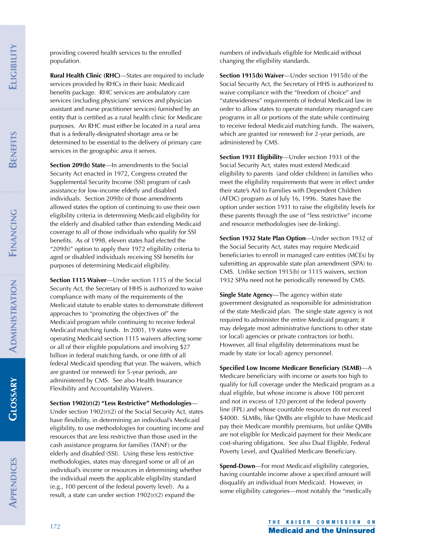**GLOSSARY GLOSSARY** providing covered health services to the enrolled population.

**Rural Health Clinic (RHC)**—States are required to include services provided by RHCs in their basic Medicaid benefits package. RHC services are ambulatory care services (including physicians' services and physician assistant and nurse practitioner services) furnished by an entity that is certified as a rural health clinic for Medicare purposes. An RHC must either be located in a rural area that is a federally-designated shortage area or be determined to be essential to the delivery of primary care services in the geographic area it serves.

**Section 209(b) State**—In amendments to the Social Security Act enacted in 1972, Congress created the Supplemental Security Income (SSI) program of cash assistance for low-income elderly and disabled individuals. Section 209(b) of those amendments allowed states the option of continuing to use their own eligibility criteria in determining Medicaid eligibility for the elderly and disabled rather than extending Medicaid coverage to all of those individuals who qualify for SSI benefits. As of 1998, eleven states had elected the "209(b)" option to apply their 1972 eligibility criteria to aged or disabled individuals receiving SSI benefits for purposes of determining Medicaid eligibility.

**Section 1115 Waiver**—Under section 1115 of the Social Security Act, the Secretary of HHS is authorized to waive compliance with many of the requirements of the Medicaid statute to enable states to demonstrate different approaches to "promoting the objectives of" the Medicaid program while continuing to receive federal Medicaid matching funds. In 2001, 19 states were operating Medicaid section 1115 waivers affecting some or all of their eligible populations and involving \$27 billion in federal matching funds, or one fifth of all federal Medicaid spending that year. The waivers, which are granted (or renewed) for 5-year periods, are administered by CMS. See also Health Insurance Flexibility and Accountability Waivers.

### **Section 1902(r)(2) "Less Restrictive" Methodologies**—

Under section 1902(r)(2) of the Social Security Act, states have flexibility, in determining an individual's Medicaid eligibility, to use methodologies for counting income and resources that are less restrictive than those used in the cash assistance programs for families (TANF) or the elderly and disabled (SSI). Using these less restrictive methodologies, states may disregard some or all of an individual's income or resources in determining whether the individual meets the applicable eligibility standard (e.g., 100 percent of the federal poverty level). As a result, a state can under section 1902(r)(2) expand the

numbers of individuals eligible for Medicaid without changing the eligibility standards.

**Section 1915(b) Waiver**—Under section 1915(b) of the Social Security Act, the Secretary of HHS is authorized to waive compliance with the "freedom of choice" and "statewideness" requirements of federal Medicaid law in order to allow states to operate mandatory managed care programs in all or portions of the state while continuing to receive federal Medicaid matching funds. The waivers, which are granted (or renewed) for 2-year periods, are administered by CMS.

**Section 1931 Eligibility**—Under section 1931 of the Social Security Act, states must extend Medicaid eligibility to parents (and older children) in families who meet the eligibility requirements that were in effect under their state's Aid to Families with Dependent Children (AFDC) program as of July 16, 1996. States have the option under section 1931 to raise the eligibility levels for these parents through the use of "less restrictive" income and resource methodologies (see de-linking).

**Section 1932 State Plan Option**—Under section 1932 of the Social Security Act, states may require Medicaid beneficiaries to enroll in managed care entities (MCEs) by submitting an approvable state plan amendment (SPA) to CMS. Unlike section 1915(b) or 1115 waivers, section 1932 SPAs need not be periodically renewed by CMS.

**Single State Agency**—The agency within state government designated as responsible for administration of the state Medicaid plan. The single state agency is not required to administer the entire Medicaid program; it may delegate most administrative functions to other state (or local) agencies or private contractors (or both). However, all final eligibility determinations must be made by state (or local) agency personnel.

**Specified Low Income Medicare Beneficiary (SLMB)**—A Medicare beneficiary with income or assets too high to qualify for full coverage under the Medicaid program as a dual eligible, but whose income is above 100 percent and not in excess of 120 percent of the federal poverty line (FPL) and whose countable resources do not exceed \$4000. SLMBs, like QMBs are eligible to have Medicaid pay their Medicare monthly premiums, but unlike QMBs are not eligible for Medicaid payment for their Medicare cost-sharing obligations. See also Dual Eligible, Federal Poverty Level, and Qualified Medicare Beneficiary.

**Spend-Down**—For most Medicaid eligibility categories, having countable income above a specified amount will disqualify an individual from Medicaid. However, in some eligibility categories—most notably the "medically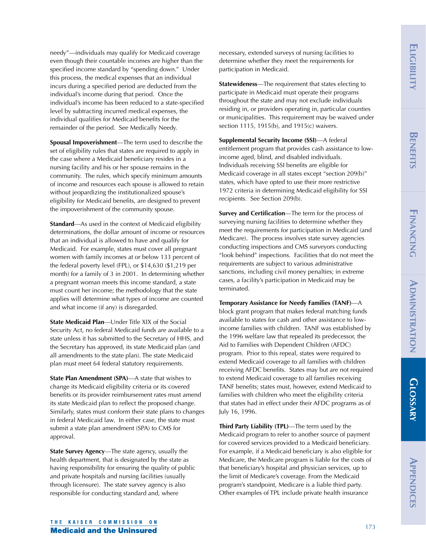**GLOSSARY GLOSSARY**

needy"—individuals may qualify for Medicaid coverage even though their countable incomes are higher than the specified income standard by "spending down." Under this process, the medical expenses that an individual incurs during a specified period are deducted from the individual's income during that period. Once the individual's income has been reduced to a state-specified level by subtracting incurred medical expenses, the individual qualifies for Medicaid benefits for the remainder of the period. See Medically Needy.

**Spousal Impoverishment**—The term used to describe the set of eligibility rules that states are required to apply in the case where a Medicaid beneficiary resides in a nursing facility and his or her spouse remains in the community. The rules, which specify minimum amounts of income and resources each spouse is allowed to retain without jeopardizing the institutionalized spouse's eligibility for Medicaid benefits, are designed to prevent the impoverishment of the community spouse.

**Standard**—As used in the context of Medicaid eligibility determinations, the dollar amount of income or resources that an individual is allowed to have and qualify for Medicaid. For example, states must cover all pregnant women with family incomes at or below 133 percent of the federal poverty level (FPL), or \$14,630 (\$1,219 per month) for a family of 3 in 2001. In determining whether a pregnant woman meets this income standard, a state must count her income; the methodology that the state applies will determine what types of income are counted and what income (if any) is disregarded.

**State Medicaid Plan**—Under Title XIX of the Social Security Act, no federal Medicaid funds are available to a state unless it has submitted to the Secretary of HHS, and the Secretary has approved, its state Medicaid plan (and all amendments to the state plan). The state Medicaid plan must meet 64 federal statutory requirements.

**State Plan Amendment (SPA)—A state that wishes to** change its Medicaid eligibility criteria or its covered benefits or its provider reimbursement rates must amend its state Medicaid plan to reflect the proposed change. Similarly, states must conform their state plans to changes in federal Medicaid law. In either case, the state must submit a state plan amendment (SPA) to CMS for approval.

**State Survey Agency**—The state agency, usually the health department, that is designated by the state as having responsibility for ensuring the quality of public and private hospitals and nursing facilities (usually through licensure). The state survey agency is also responsible for conducting standard and, where

necessary, extended surveys of nursing facilities to determine whether they meet the requirements for participation in Medicaid.

**Statewideness**—The requirement that states electing to participate in Medicaid must operate their programs throughout the state and may not exclude individuals residing in, or providers operating in, particular counties or municipalities. This requirement may be waived under section 1115, 1915(b), and 1915(c) waivers.

**Supplemental Security Income (SSI)**—A federal entitlement program that provides cash assistance to lowincome aged, blind, and disabled individuals. Individuals receiving SSI benefits are eligible for Medicaid coverage in all states except "section 209(b)" states, which have opted to use their more restrictive 1972 criteria in determining Medicaid eligibility for SSI recipients. See Section 209(b).

**Survey and Certification**—The term for the process of surveying nursing facilities to determine whether they meet the requirements for participation in Medicaid (and Medicare). The process involves state survey agencies conducting inspections and CMS surveyors conducting "look behind" inspections. Facilities that do not meet the requirements are subject to various administrative sanctions, including civil money penalties; in extreme cases, a facility's participation in Medicaid may be terminated.

**Temporary Assistance for Needy Families (TANF)**—A block grant program that makes federal matching funds available to states for cash and other assistance to lowincome families with children. TANF was established by the 1996 welfare law that repealed its predecessor, the Aid to Families with Dependent Children (AFDC) program. Prior to this repeal, states were required to extend Medicaid coverage to all families with children receiving AFDC benefits. States may but are not required to extend Medicaid coverage to all families receiving TANF benefits; states must, however, extend Medicaid to families with children who meet the eligibility criteria that states had in effect under their AFDC programs as of July 16, 1996.

**Third Party Liability (TPL)**—The term used by the Medicaid program to refer to another source of payment for covered services provided to a Medicaid beneficiary. For example, if a Medicaid beneficiary is also eligible for Medicare, the Medicare program is liable for the costs of that beneficiary's hospital and physician services, up to the limit of Medicare's coverage. From the Medicaid program's standpoint, Medicare is a liable third party. Other examples of TPL include private health insurance